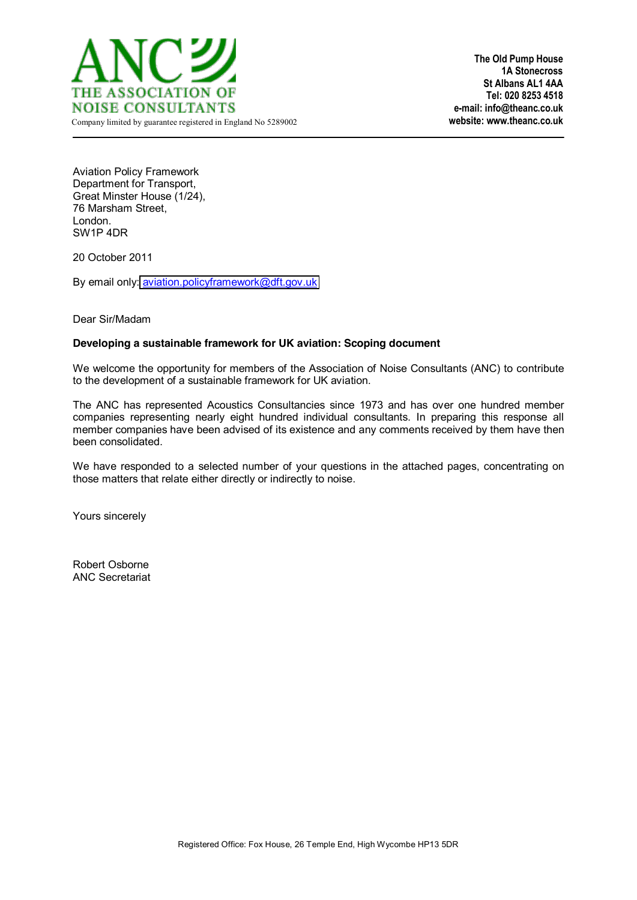

**The Old Pump House 1A Stonecross St Albans AL1 4AA Tel: 020 8253 4518 e-mail: info@theanc.co.uk** 

Aviation Policy Framework Department for Transport, Great Minster House (1/24), 76 Marsham Street, London. SW1P 4DR

20 October 2011

By email only: [aviation.policyframework@dft.gov.uk](mailto:aviation.policyframework@dft.gov.uk)

Dear Sir/Madam

# **Developing a sustainable framework for UK aviation: Scoping document**

We welcome the opportunity for members of the Association of Noise Consultants (ANC) to contribute to the development of a sustainable framework for UK aviation.

The ANC has represented Acoustics Consultancies since 1973 and has over one hundred member companies representing nearly eight hundred individual consultants. In preparing this response all member companies have been advised of its existence and any comments received by them have then been consolidated.

We have responded to a selected number of your questions in the attached pages, concentrating on those matters that relate either directly or indirectly to noise.

Yours sincerely

Robert Osborne ANC Secretariat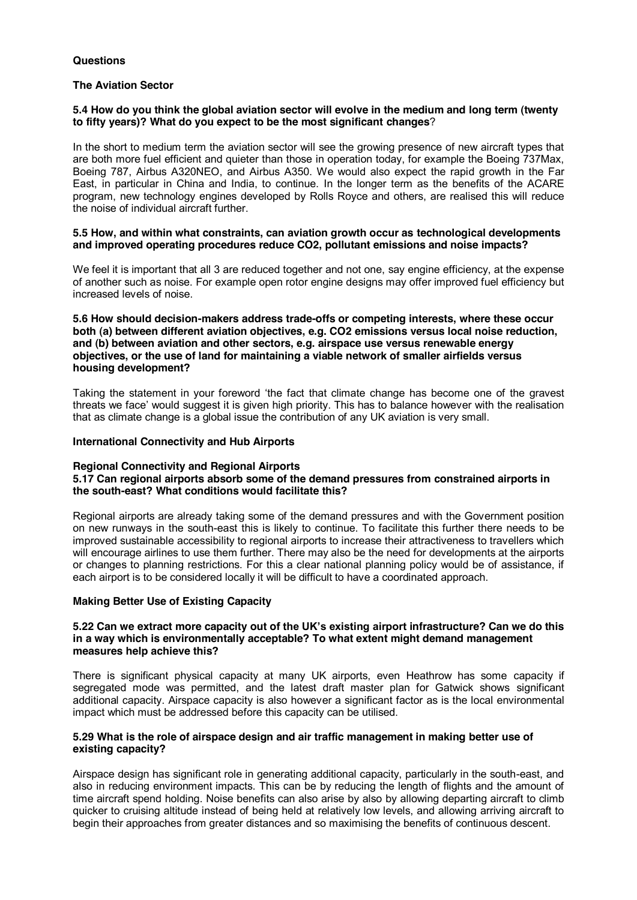# **Questions**

# **The Aviation Sector**

# **5.4 How do you think the global aviation sector will evolve in the medium and long term (twenty to fifty years)? What do you expect to be the most significant changes**?

In the short to medium term the aviation sector will see the growing presence of new aircraft types that are both more fuel efficient and quieter than those in operation today, for example the Boeing 737Max, Boeing 787, Airbus A320NEO, and Airbus A350. We would also expect the rapid growth in the Far East, in particular in China and India, to continue. In the longer term as the benefits of the ACARE program, new technology engines developed by Rolls Royce and others, are realised this will reduce the noise of individual aircraft further.

### **5.5 How, and within what constraints, can aviation growth occur as technological developments and improved operating procedures reduce CO2, pollutant emissions and noise impacts?**

We feel it is important that all 3 are reduced together and not one, say engine efficiency, at the expense of another such as noise. For example open rotor engine designs may offer improved fuel efficiency but increased levels of noise.

**5.6 How should decision-makers address trade-offs or competing interests, where these occur both (a) between different aviation objectives, e.g. CO2 emissions versus local noise reduction, and (b) between aviation and other sectors, e.g. airspace use versus renewable energy objectives, or the use of land for maintaining a viable network of smaller airfields versus housing development?**

Taking the statement in your foreword 'the fact that climate change has become one of the gravest threats we face' would suggest it is given high priority. This has to balance however with the realisation that as climate change is a global issue the contribution of any UK aviation is very small.

## **International Connectivity and Hub Airports**

### **Regional Connectivity and Regional Airports**

# **5.17 Can regional airports absorb some of the demand pressures from constrained airports in the south-east? What conditions would facilitate this?**

Regional airports are already taking some of the demand pressures and with the Government position on new runways in the south-east this is likely to continue. To facilitate this further there needs to be improved sustainable accessibility to regional airports to increase their attractiveness to travellers which will encourage airlines to use them further. There may also be the need for developments at the airports or changes to planning restrictions. For this a clear national planning policy would be of assistance, if each airport is to be considered locally it will be difficult to have a coordinated approach.

# **Making Better Use of Existing Capacity**

### 5.22 Can we extract more capacity out of the UK's existing airport infrastructure? Can we do this **in a way which is environmentally acceptable? To what extent might demand management measures help achieve this?**

There is significant physical capacity at many UK airports, even Heathrow has some capacity if segregated mode was permitted, and the latest draft master plan for Gatwick shows significant additional capacity. Airspace capacity is also however a significant factor as is the local environmental impact which must be addressed before this capacity can be utilised.

# **5.29 What is the role of airspace design and air traffic management in making better use of existing capacity?**

Airspace design has significant role in generating additional capacity, particularly in the south-east, and also in reducing environment impacts. This can be by reducing the length of flights and the amount of time aircraft spend holding. Noise benefits can also arise by also by allowing departing aircraft to climb quicker to cruising altitude instead of being held at relatively low levels, and allowing arriving aircraft to begin their approaches from greater distances and so maximising the benefits of continuous descent.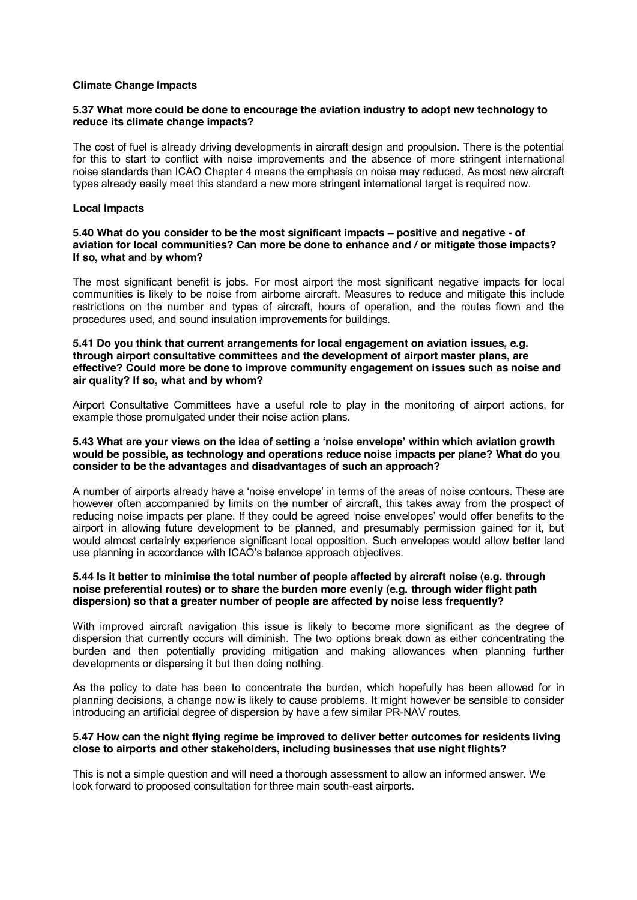#### **Climate Change Impacts**

## **5.37 What more could be done to encourage the aviation industry to adopt new technology to reduce its climate change impacts?**

The cost of fuel is already driving developments in aircraft design and propulsion. There is the potential for this to start to conflict with noise improvements and the absence of more stringent international noise standards than ICAO Chapter 4 means the emphasis on noise may reduced. As most new aircraft types already easily meet this standard a new more stringent international target is required now.

#### **Local Impacts**

# **5.40 What do you consider to be the most significant impacts ± positive and negative - of aviation for local communities? Can more be done to enhance and / or mitigate those impacts? If so, what and by whom?**

The most significant benefit is jobs. For most airport the most significant negative impacts for local communities is likely to be noise from airborne aircraft. Measures to reduce and mitigate this include restrictions on the number and types of aircraft, hours of operation, and the routes flown and the procedures used, and sound insulation improvements for buildings.

#### **5.41 Do you think that current arrangements for local engagement on aviation issues, e.g. through airport consultative committees and the development of airport master plans, are effective? Could more be done to improve community engagement on issues such as noise and air quality? If so, what and by whom?**

Airport Consultative Committees have a useful role to play in the monitoring of airport actions, for example those promulgated under their noise action plans.

# **5.43** What are your views on the idea of setting a 'noise envelope' within which aviation growth **would be possible, as technology and operations reduce noise impacts per plane? What do you consider to be the advantages and disadvantages of such an approach?**

A number of airports already have a 'noise envelope' in terms of the areas of noise contours. These are however often accompanied by limits on the number of aircraft, this takes away from the prospect of reducing noise impacts per plane. If they could be agreed 'noise envelopes' would offer benefits to the airport in allowing future development to be planned, and presumably permission gained for it, but would almost certainly experience significant local opposition. Such envelopes would allow better land use planning in accordance with ICAO's balance approach objectives.

### **5.44 Is it better to minimise the total number of people affected by aircraft noise (e.g. through noise preferential routes) or to share the burden more evenly (e.g. through wider flight path dispersion) so that a greater number of people are affected by noise less frequently?**

With improved aircraft navigation this issue is likely to become more significant as the degree of dispersion that currently occurs will diminish. The two options break down as either concentrating the burden and then potentially providing mitigation and making allowances when planning further developments or dispersing it but then doing nothing.

As the policy to date has been to concentrate the burden, which hopefully has been allowed for in planning decisions, a change now is likely to cause problems. It might however be sensible to consider introducing an artificial degree of dispersion by have a few similar PR-NAV routes.

# **5.47 How can the night flying regime be improved to deliver better outcomes for residents living close to airports and other stakeholders, including businesses that use night flights?**

This is not a simple question and will need a thorough assessment to allow an informed answer. We look forward to proposed consultation for three main south-east airports.